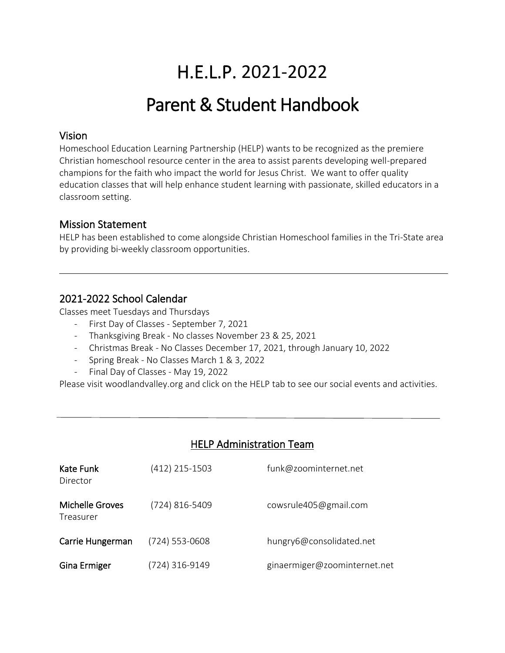# H.E.L.P. 2021-2022

# Parent & Student Handbook

## Vision

֖֚֚֚֬

Homeschool Education Learning Partnership (HELP) wants to be recognized as the premiere Christian homeschool resource center in the area to assist parents developing well-prepared champions for the faith who impact the world for Jesus Christ. We want to offer quality education classes that will help enhance student learning with passionate, skilled educators in a classroom setting.

## Mission Statement

HELP has been established to come alongside Christian Homeschool families in the Tri-State area by providing bi-weekly classroom opportunities.

## 2021-2022 School Calendar

Classes meet Tuesdays and Thursdays

- First Day of Classes September 7, 2021
- Thanksgiving Break No classes November 23 & 25, 2021
- Christmas Break No Classes December 17, 2021, through January 10, 2022
- Spring Break No Classes March 1 & 3, 2022
- Final Day of Classes May 19, 2022

Please visit woodlandvalley.org and click on the HELP tab to see our social events and activities.

# HELP Administration Team

| Kate Funk<br>Director        | (412) 215-1503   | funk@zoominternet.net        |
|------------------------------|------------------|------------------------------|
| Michelle Groves<br>Treasurer | (724) 816-5409   | cowsrule405@gmail.com        |
| Carrie Hungerman             | $(724)$ 553-0608 | hungry6@consolidated.net     |
| Gina Ermiger                 | (724) 316-9149   | ginaermiger@zoominternet.net |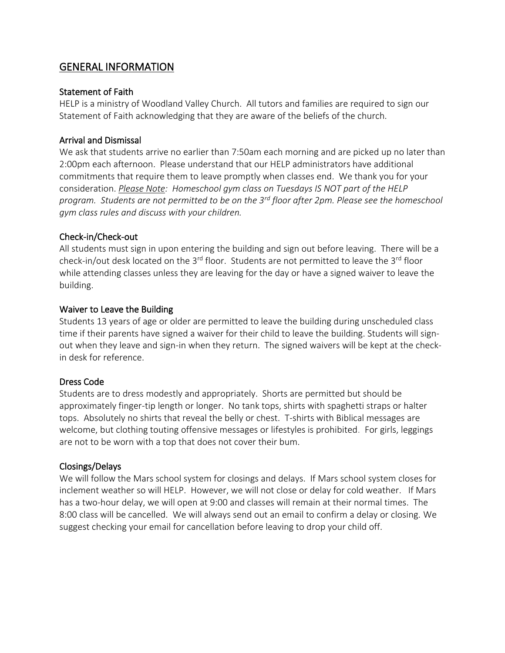## GENERAL INFORMATION

#### Statement of Faith

HELP is a ministry of Woodland Valley Church. All tutors and families are required to sign our Statement of Faith acknowledging that they are aware of the beliefs of the church.

#### Arrival and Dismissal

We ask that students arrive no earlier than 7:50am each morning and are picked up no later than 2:00pm each afternoon. Please understand that our HELP administrators have additional commitments that require them to leave promptly when classes end. We thank you for your consideration. *Please Note: Homeschool gym class on Tuesdays IS NOT part of the HELP program. Students are not permitted to be on the 3rd floor after 2pm. Please see the homeschool gym class rules and discuss with your children.*

#### Check-in/Check-out

All students must sign in upon entering the building and sign out before leaving. There will be a check-in/out desk located on the  $3^{rd}$  floor. Students are not permitted to leave the  $3^{rd}$  floor while attending classes unless they are leaving for the day or have a signed waiver to leave the building.

#### Waiver to Leave the Building

Students 13 years of age or older are permitted to leave the building during unscheduled class time if their parents have signed a waiver for their child to leave the building. Students will signout when they leave and sign-in when they return. The signed waivers will be kept at the checkin desk for reference.

#### Dress Code

Students are to dress modestly and appropriately. Shorts are permitted but should be approximately finger-tip length or longer. No tank tops, shirts with spaghetti straps or halter tops. Absolutely no shirts that reveal the belly or chest. T-shirts with Biblical messages are welcome, but clothing touting offensive messages or lifestyles is prohibited. For girls, leggings are not to be worn with a top that does not cover their bum.

#### Closings/Delays

We will follow the Mars school system for closings and delays. If Mars school system closes for inclement weather so will HELP. However, we will not close or delay for cold weather. If Mars has a two-hour delay, we will open at 9:00 and classes will remain at their normal times. The 8:00 class will be cancelled. We will always send out an email to confirm a delay or closing. We suggest checking your email for cancellation before leaving to drop your child off.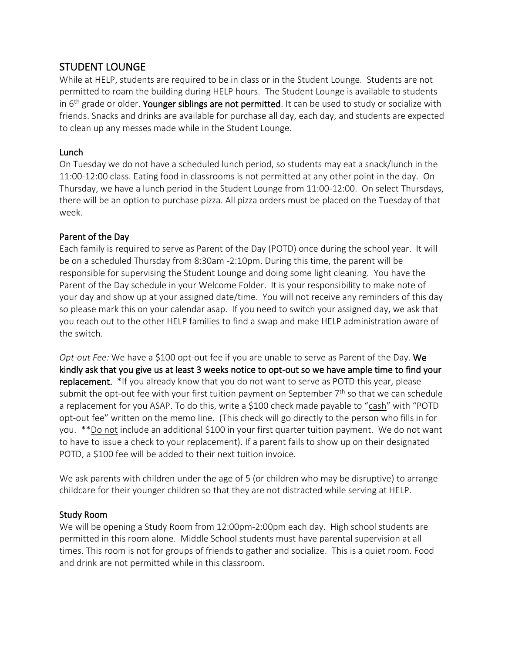# STUDENT LOUNGE

While at HELP, students are required to be in class or in the Student Lounge. Students are not permitted to roam the building during HELP hours. The Student Lounge is available to students in  $6<sup>th</sup>$  grade or older. Younger siblings are not permitted. It can be used to study or socialize with friends. Snacks and drinks are available for purchase all day, each day, and students are expected to clean up any messes made while in the Student Lounge.

## Lunch

On Tuesday we do not have a scheduled lunch period, so students may eat a snack/lunch in the 11:00-12:00 class. Eating food in classrooms is not permitted at any other point in the day. On Thursday, we have a lunch period in the Student Lounge from 11:00-12:00. On select Thursdays, there will be an option to purchase pizza. All pizza orders must be placed on the Tuesday of that week.

### Parent of the Day

Each family is required to serve as Parent of the Day (POTD) once during the school year. It will be on a scheduled Thursday from 8:30am -2:10pm. During this time, the parent will be responsible for supervising the Student Lounge and doing some light cleaning. You have the Parent of the Day schedule in your Welcome Folder. It is your responsibility to make note of your day and show up at your assigned date/time. You will not receive any reminders of this day so please mark this on your calendar asap. If you need to switch your assigned day, we ask that you reach out to the other HELP families to find a swap and make HELP administration aware of the switch.

*Opt-out Fee:* We have a \$100 opt-out fee if you are unable to serve as Parent of the Day. We kindly ask that you give us at least 3 weeks notice to opt-out so we have ample time to find your replacement. \*If you already know that you do not want to serve as POTD this year, please submit the opt-out fee with your first tuition payment on September  $7<sup>th</sup>$  so that we can schedule a replacement for you ASAP. To do this, write a \$100 check made payable to "cash" with "POTD opt-out fee" written on the memo line. (This check will go directly to the person who fills in for you. \*\*Do not include an additional \$100 in your first quarter tuition payment. We do not want to have to issue a check to your replacement). If a parent fails to show up on their designated POTD, a \$100 fee will be added to their next tuition invoice.

We ask parents with children under the age of 5 (or children who may be disruptive) to arrange childcare for their younger children so that they are not distracted while serving at HELP.

## Study Room

We will be opening a Study Room from 12:00pm-2:00pm each day. High school students are permitted in this room alone. Middle School students must have parental supervision at all times. This room is not for groups of friends to gather and socialize. This is a quiet room. Food and drink are not permitted while in this classroom.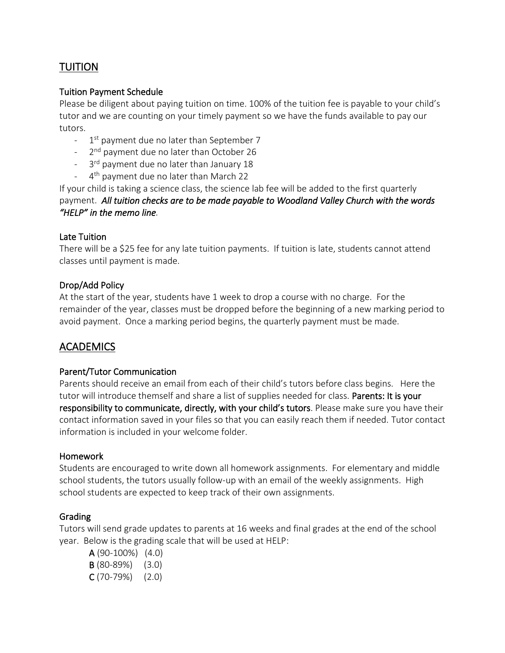# TUITION

#### Tuition Payment Schedule

Please be diligent about paying tuition on time. 100% of the tuition fee is payable to your child's tutor and we are counting on your timely payment so we have the funds available to pay our tutors.

- 1<sup>st</sup> payment due no later than September 7
- 2<sup>nd</sup> payment due no later than October 26
- 3<sup>rd</sup> payment due no later than January 18
- 4  $4<sup>th</sup>$  payment due no later than March 22

If your child is taking a science class, the science lab fee will be added to the first quarterly payment. *All tuition checks are to be made payable to Woodland Valley Church with the words "HELP" in the memo line.* 

#### Late Tuition

There will be a \$25 fee for any late tuition payments. If tuition is late, students cannot attend classes until payment is made.

#### Drop/Add Policy

At the start of the year, students have 1 week to drop a course with no charge. For the remainder of the year, classes must be dropped before the beginning of a new marking period to avoid payment. Once a marking period begins, the quarterly payment must be made.

## ACADEMICS

#### Parent/Tutor Communication

Parents should receive an email from each of their child's tutors before class begins. Here the tutor will introduce themself and share a list of supplies needed for class. Parents: It is your responsibility to communicate, directly, with your child's tutors. Please make sure you have their contact information saved in your files so that you can easily reach them if needed. Tutor contact information is included in your welcome folder.

#### Homework

Students are encouraged to write down all homework assignments. For elementary and middle school students, the tutors usually follow-up with an email of the weekly assignments. High school students are expected to keep track of their own assignments.

#### Grading

Tutors will send grade updates to parents at 16 weeks and final grades at the end of the school year. Below is the grading scale that will be used at HELP:

A (90-100%) (4.0) B (80-89%) (3.0) C (70-79%) (2.0)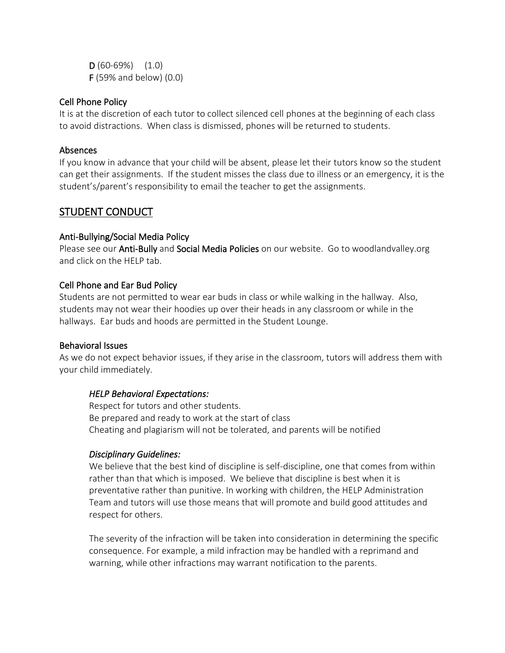$D(60-69%) (1.0)$ F (59% and below) (0.0)

#### Cell Phone Policy

It is at the discretion of each tutor to collect silenced cell phones at the beginning of each class to avoid distractions. When class is dismissed, phones will be returned to students.

#### Absences

If you know in advance that your child will be absent, please let their tutors know so the student can get their assignments. If the student misses the class due to illness or an emergency, it is the student's/parent's responsibility to email the teacher to get the assignments.

## STUDENT CONDUCT

#### Anti-Bullying/Social Media Policy

Please see our **Anti-Bully** and **Social Media Policies** on our website. Go to woodlandvalley.org and click on the HELP tab.

#### Cell Phone and Ear Bud Policy

Students are not permitted to wear ear buds in class or while walking in the hallway. Also, students may not wear their hoodies up over their heads in any classroom or while in the hallways. Ear buds and hoods are permitted in the Student Lounge.

#### Behavioral Issues

As we do not expect behavior issues, if they arise in the classroom, tutors will address them with your child immediately.

#### *HELP Behavioral Expectations:*

Respect for tutors and other students. Be prepared and ready to work at the start of class Cheating and plagiarism will not be tolerated, and parents will be notified

#### *Disciplinary Guidelines:*

We believe that the best kind of discipline is self-discipline, one that comes from within rather than that which is imposed. We believe that discipline is best when it is preventative rather than punitive. In working with children, the HELP Administration Team and tutors will use those means that will promote and build good attitudes and respect for others.

The severity of the infraction will be taken into consideration in determining the specific consequence. For example, a mild infraction may be handled with a reprimand and warning, while other infractions may warrant notification to the parents.